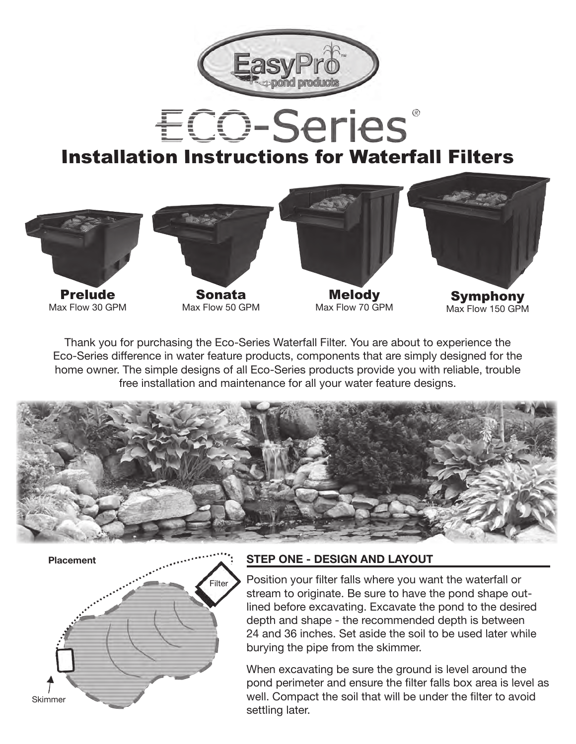

# **ECO-Series** Installation Instructions for Waterfall Filters



Thank you for purchasing the Eco-Series Waterfall Filter. You are about to experience the Eco-Series difference in water feature products, components that are simply designed for the home owner. The simple designs of all Eco-Series products provide you with reliable, trouble free installation and maintenance for all your water feature designs.



Skimmer Filter **Placement**

#### **STEP ONE - DESIGN AND LAYOUT**

Position your filter falls where you want the waterfall or stream to originate. Be sure to have the pond shape outlined before excavating. Excavate the pond to the desired depth and shape - the recommended depth is between 24 and 36 inches. Set aside the soil to be used later while burying the pipe from the skimmer.

When excavating be sure the ground is level around the pond perimeter and ensure the filter falls box area is level as well. Compact the soil that will be under the filter to avoid settling later.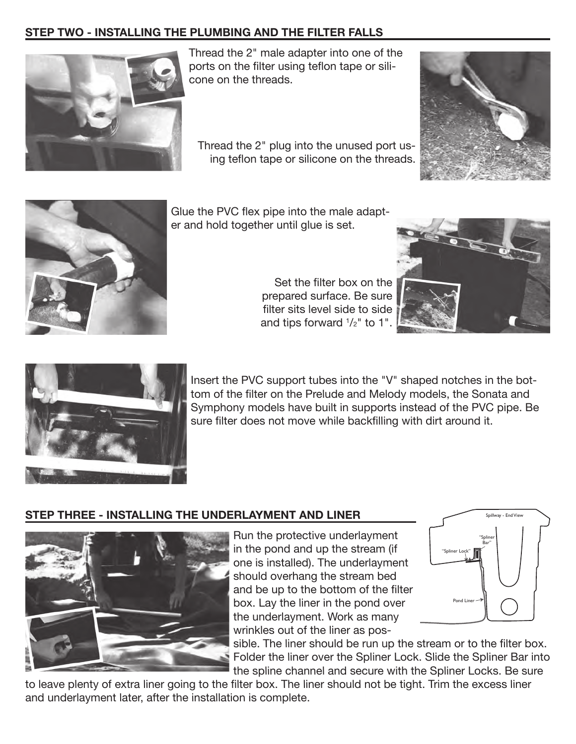### **STEP TWO - INSTALLING THE PLUMBING AND THE FILTER FALLS**



Thread the 2" male adapter into one of the ports on the filter using teflon tape or silicone on the threads.

Thread the 2" plug into the unused port using teflon tape or silicone on the threads.





Glue the PVC flex pipe into the male adapter and hold together until glue is set.

Set the filter box on the prepared surface. Be sure filter sits level side to side and tips forward  $^{1}\!/_{2}$ " to 1".





Insert the PVC support tubes into the "V" shaped notches in the bottom of the filter on the Prelude and Melody models, the Sonata and Symphony models have built in supports instead of the PVC pipe. Be sure filter does not move while backfilling with dirt around it.

### **STEP THREE - INSTALLING THE UNDERLAYMENT AND LINER**



Run the protective underlayment in the pond and up the stream (if one is installed). The underlayment should overhang the stream bed and be up to the bottom of the filter box. Lay the liner in the pond over the underlayment. Work as many wrinkles out of the liner as pos-



sible. The liner should be run up the stream or to the filter box. Folder the liner over the Spliner Lock. Slide the Spliner Bar into the spline channel and secure with the Spliner Locks. Be sure

to leave plenty of extra liner going to the filter box. The liner should not be tight. Trim the excess liner and underlayment later, after the installation is complete.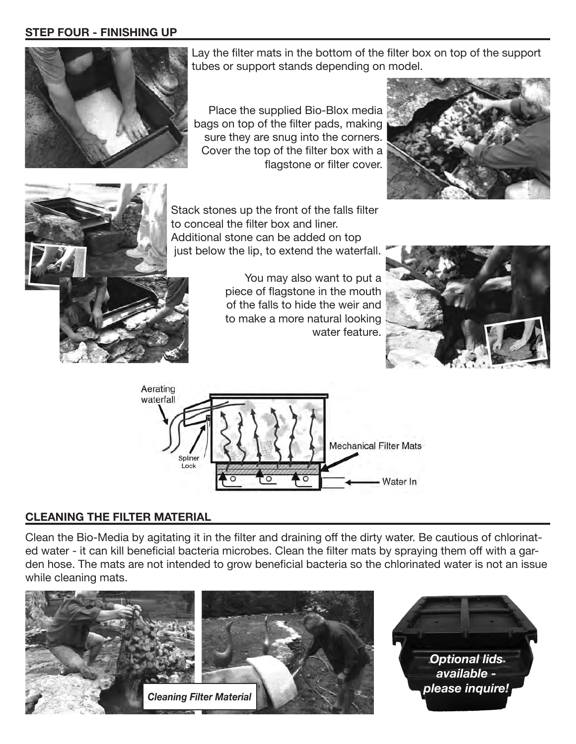#### **STEP FOUR - FINISHING UP**



Lay the filter mats in the bottom of the filter box on top of the support tubes or support stands depending on model.

Place the supplied Bio-Blox media bags on top of the filter pads, making sure they are snug into the corners. Cover the top of the filter box with a flagstone or filter cover.





Stack stones up the front of the falls filter to conceal the filter box and liner. Additional stone can be added on top just below the lip, to extend the waterfall.

> You may also want to put a piece of flagstone in the mouth of the falls to hide the weir and to make a more natural looking water feature.





#### **CLEANING THE FILTER MATERIAL**

Clean the Bio-Media by agitating it in the filter and draining off the dirty water. Be cautious of chlorinated water - it can kill beneficial bacteria microbes. Clean the filter mats by spraying them off with a garden hose. The mats are not intended to grow beneficial bacteria so the chlorinated water is not an issue while cleaning mats.